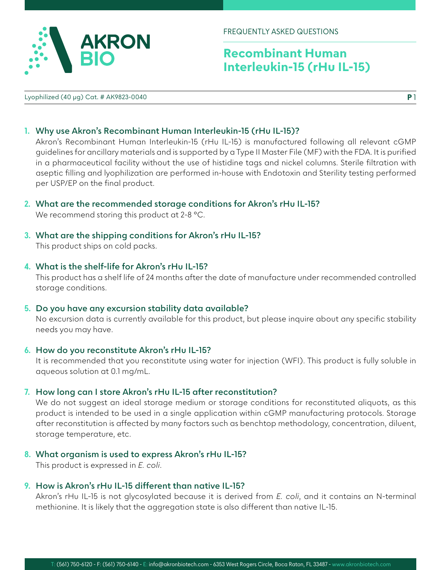

# **Recombinant Human Interleukin-15 (rHu IL-15)**

Lyophilized (40 µg) Cat. # AK9823-0040

**P** 1

## **1. Why use Akron's Recombinant Human Interleukin-15 (rHu IL-15)?**

Akron's Recombinant Human Interleukin-15 (rHu IL-15) is manufactured following all relevant cGMP guidelines for ancillary materials and is supported by a Type II Master File (MF) with the FDA. It is purified in a pharmaceutical facility without the use of histidine tags and nickel columns. Sterile filtration with aseptic filling and lyophilization are performed in-house with Endotoxin and Sterility testing performed per USP/EP on the final product.

**2. What are the recommended storage conditions for Akron's rHu IL-15?**

We recommend storing this product at 2-8 °C.

**3. What are the shipping conditions for Akron's rHu IL-15?** This product ships on cold packs.

#### **4. What is the shelf-life for Akron's rHu IL-15?**

This product has a shelf life of 24 months after the date of manufacture under recommended controlled storage conditions.

**5. Do you have any excursion stability data available?** No excursion data is currently available for this product, but please inquire about any specific stability needs you may have.

#### **6. How do you reconstitute Akron's rHu IL-15?**

It is recommended that you reconstitute using water for injection (WFI). This product is fully soluble in aqueous solution at 0.1 mg/mL.

## **7. How long can I store Akron's rHu IL-15 after reconstitution?**

We do not suggest an ideal storage medium or storage conditions for reconstituted aliquots, as this product is intended to be used in a single application within cGMP manufacturing protocols. Storage after reconstitution is affected by many factors such as benchtop methodology, concentration, diluent, storage temperature, etc.

#### **8. What organism is used to express Akron's rHu IL-15?**

This product is expressed in *E. coli*.

## **9. How is Akron's rHu IL-15 different than native IL-15?**

Akron's rHu IL-15 is not glycosylated because it is derived from *E. coli*, and it contains an N-terminal methionine. It is likely that the aggregation state is also different than native IL-15.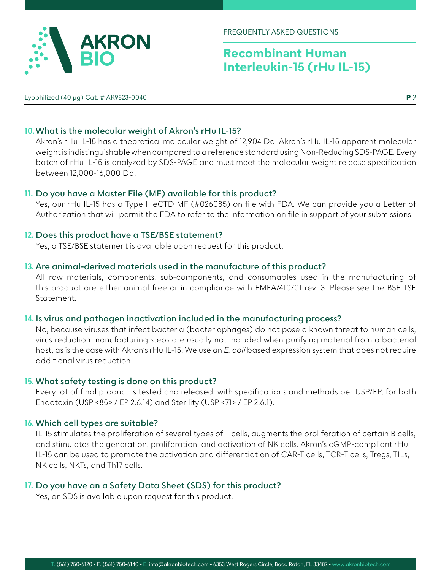

FREQUENTLY ASKED QUESTIONS

# **Recombinant Human Interleukin-15 (rHu IL-15)**

Lyophilized (40 µg) Cat. # AK9823-0040

**P** 2

## **10.What is the molecular weight of Akron's rHu IL-15?**

Akron's rHu IL-15 has a theoretical molecular weight of 12,904 Da. Akron's rHu IL-15 apparent molecular weight is indistinguishable when compared to a reference standard using Non-Reducing SDS-PAGE. Every batch of rHu IL-15 is analyzed by SDS-PAGE and must meet the molecular weight release specification between 12,000-16,000 Da.

## **11. Do you have a Master File (MF) available for this product?**

Yes, our rHu IL-15 has a Type II eCTD MF (#026085) on file with FDA. We can provide you a Letter of Authorization that will permit the FDA to refer to the information on file in support of your submissions.

#### **12. Does this product have a TSE/BSE statement?**

Yes, a TSE/BSE statement is available upon request for this product.

#### **13. Are animal-derived materials used in the manufacture of this product?**

All raw materials, components, sub-components, and consumables used in the manufacturing of this product are either animal-free or in compliance with EMEA/410/01 rev. 3. Please see the BSE-TSE Statement.

#### **14. Is virus and pathogen inactivation included in the manufacturing process?**

No, because viruses that infect bacteria (bacteriophages) do not pose a known threat to human cells, virus reduction manufacturing steps are usually not included when purifying material from a bacterial host, as is the case with Akron's rHu IL-15. We use an *E. coli* based expression system that does not require additional virus reduction.

#### **15. What safety testing is done on this product?**

Every lot of final product is tested and released, with specifications and methods per USP/EP, for both Endotoxin (USP <85> / EP 2.6.14) and Sterility (USP <71> / EP 2.6.1).

#### **16. Which cell types are suitable?**

IL-15 stimulates the proliferation of several types of T cells, augments the proliferation of certain B cells, and stimulates the generation, proliferation, and activation of NK cells. Akron's cGMP-compliant rHu IL-15 can be used to promote the activation and differentiation of CAR-T cells, TCR-T cells, Tregs, TILs, NK cells, NKTs, and Th17 cells.

## **17. Do you have an a Safety Data Sheet (SDS) for this product?**

Yes, an SDS is available upon request for this product.